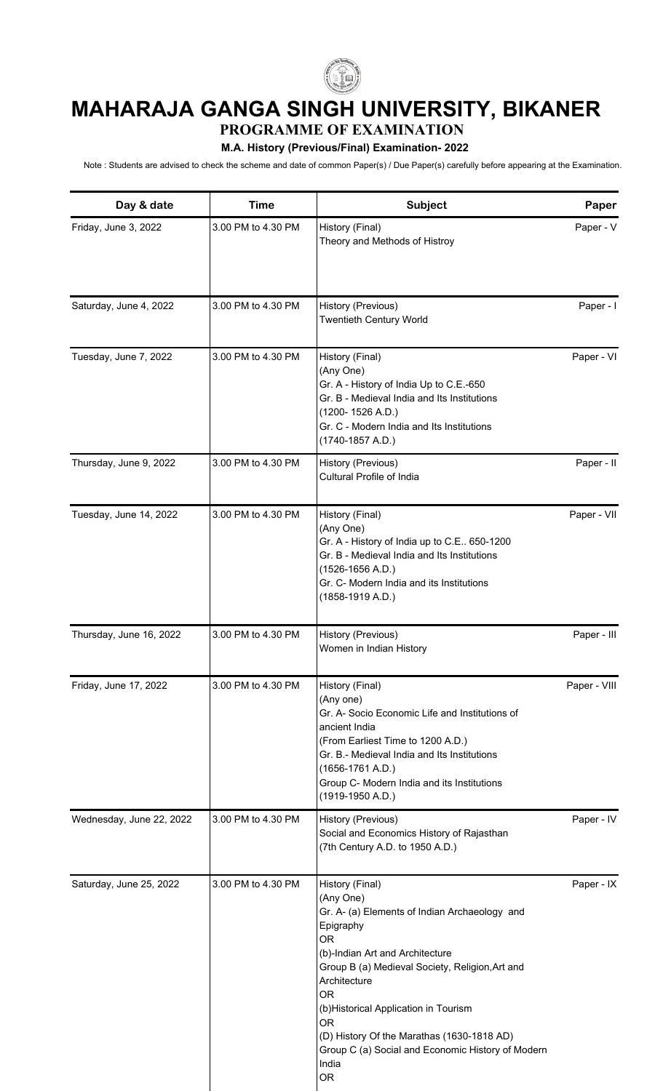

## **MAHARAJA GANGA SINGH UNIVERSITY, BIKANER**

**PROGRAMME OF EXAMINATION**

## **M.A. History (Previous/Final) Examination- 2022**

Note : Students are advised to check the scheme and date of common Paper(s) / Due Paper(s) carefully before appearing at the Examination.

| Day & date               | <b>Time</b>        | Subject                                                                                                                                                                                                                                                                                                                                                                                                   | Paper        |
|--------------------------|--------------------|-----------------------------------------------------------------------------------------------------------------------------------------------------------------------------------------------------------------------------------------------------------------------------------------------------------------------------------------------------------------------------------------------------------|--------------|
| Friday, June 3, 2022     | 3.00 PM to 4.30 PM | History (Final)<br>Theory and Methods of Histroy                                                                                                                                                                                                                                                                                                                                                          | Paper - V    |
| Saturday, June 4, 2022   | 3.00 PM to 4.30 PM | History (Previous)<br><b>Twentieth Century World</b>                                                                                                                                                                                                                                                                                                                                                      | Paper - I    |
| Tuesday, June 7, 2022    | 3.00 PM to 4.30 PM | History (Final)<br>(Any One)<br>Gr. A - History of India Up to C.E.-650<br>Gr. B - Medieval India and Its Institutions<br>$(1200 - 1526 A.D.)$<br>Gr. C - Modern India and Its Institutions<br>$(1740-1857 A.D.)$                                                                                                                                                                                         | Paper - VI   |
| Thursday, June 9, 2022   | 3.00 PM to 4.30 PM | History (Previous)<br>Cultural Profile of India                                                                                                                                                                                                                                                                                                                                                           | Paper - II   |
| Tuesday, June 14, 2022   | 3.00 PM to 4.30 PM | History (Final)<br>(Any One)<br>Gr. A - History of India up to C.E 650-1200<br>Gr. B - Medieval India and Its Institutions<br>$(1526-1656 A.D.)$<br>Gr. C- Modern India and its Institutions<br>$(1858-1919 A.D.)$                                                                                                                                                                                        | Paper - VII  |
| Thursday, June 16, 2022  | 3.00 PM to 4.30 PM | History (Previous)<br>Women in Indian History                                                                                                                                                                                                                                                                                                                                                             | Paper - III  |
| Friday, June 17, 2022    | 3.00 PM to 4.30 PM | History (Final)<br>(Any one)<br>Gr. A- Socio Economic Life and Institutions of<br>ancient India<br>(From Earliest Time to 1200 A.D.)<br>Gr. B.- Medieval India and Its Institutions<br>$(1656-1761 A.D.)$<br>Group C- Modern India and its Institutions<br>(1919-1950 A.D.)                                                                                                                               | Paper - VIII |
| Wednesday, June 22, 2022 | 3.00 PM to 4.30 PM | History (Previous)<br>Social and Economics History of Rajasthan<br>(7th Century A.D. to 1950 A.D.)                                                                                                                                                                                                                                                                                                        | Paper - IV   |
| Saturday, June 25, 2022  | 3.00 PM to 4.30 PM | History (Final)<br>(Any One)<br>Gr. A- (a) Elements of Indian Archaeology and<br>Epigraphy<br><b>OR</b><br>(b)-Indian Art and Architecture<br>Group B (a) Medieval Society, Religion, Art and<br>Architecture<br><b>OR</b><br>(b) Historical Application in Tourism<br><b>OR</b><br>(D) History Of the Marathas (1630-1818 AD)<br>Group C (a) Social and Economic History of Modern<br>India<br><b>OR</b> | Paper - IX   |